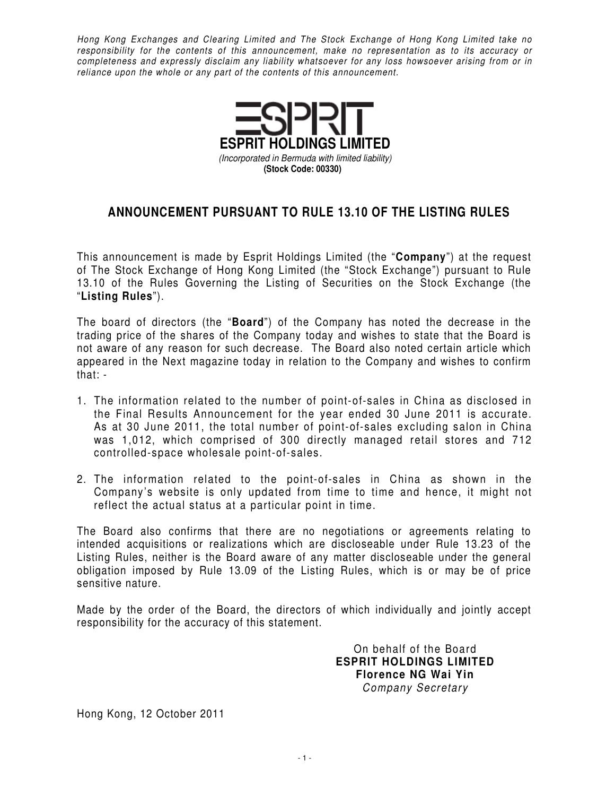Hong Kong Exchanges and Clearing Limited and The Stock Exchange of Hong Kong Limited take no responsibility for the contents of this announcement, make no representation as to its accuracy or completeness and expressly disclaim any liability whatsoever for any loss howsoever arising from or in reliance upon the whole or any part of the contents of this announcement.



## **ANNOUNCEMENT PURSUANT TO RULE 13.10 OF THE LISTING RULES**

This announcement is made by Esprit Holdings Limited (the "**Company**") at the request of The Stock Exchange of Hong Kong Limited (the "Stock Exchange") pursuant to Rule 13.10 of the Rules Governing the Listing of Securities on the Stock Exchange (the "**Listing Rules**").

The board of directors (the "**Board**") of the Company has noted the decrease in the trading price of the shares of the Company today and wishes to state that the Board is not aware of any reason for such decrease. The Board also noted certain article which appeared in the Next magazine today in relation to the Company and wishes to confirm that: -

- 1. The information related to the number of point-of-sales in China as disclosed in the Final Results Announcement for the year ended 30 June 2011 is accurate. As at 30 June 2011, the total number of point-of-sales excluding salon in China was 1,012, which comprised of 300 directly managed retail stores and 712 controlled-space wholesale point-of-sales.
- 2. The information related to the point-of-sales in China as shown in the Company's website is only updated from time to time and hence, it might not reflect the actual status at a particular point in time.

The Board also confirms that there are no negotiations or agreements relating to intended acquisitions or realizations which are discloseable under Rule 13.23 of the Listing Rules, neither is the Board aware of any matter discloseable under the general obligation imposed by Rule 13.09 of the Listing Rules, which is or may be of price sensitive nature.

Made by the order of the Board, the directors of which individually and jointly accept responsibility for the accuracy of this statement.

> On behalf of the Board **ESPRIT HOLDINGS LIMITED Florence NG Wai Yin**  Company Secretary

Hong Kong, 12 October 2011